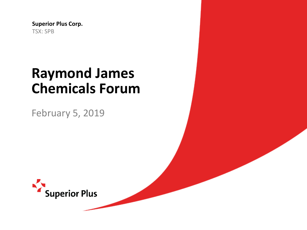**Superior Plus Corp.** TSX: SPB

# **Raymond James Chemicals Forum**

February 5, 2019

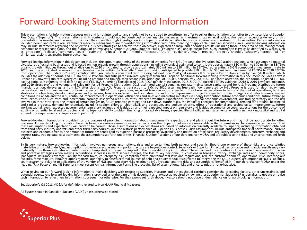### Forward-Looking Statements and Information

This presentation is for information purposes only and is not intended to, and should not be construed to constitute, an offer to sell or the solicitation of an offer to buy, securities of Superior<br>Plus Corp. ("Superior"). included herein and certain oral statements made by management are forward-looking information within the meaning of applicable Canadian securities laws. Forward-looking information<br>may include statements regarding the obj

Forward-looking information in this document includes: the amount and timing of the expected synergies from NGL Propane, the Evolution 2020 aspirational goal which assumes no material<br>divestitures of existing businesses an financial position, deleveraging from 3.7x after closing the NGL Propane transaction to 3.0x by 2020 assuming free cash flow generated by NGL Propane is used for debt repayment,<br>consolidated and business segment outlooks, rates, exposure to such rates and incremental earnings associated with such rates, expected weather, expectations for the global economic environment, our trading strategy and the risk<br>involved in these strategies, the imp and similar products, demand for chemicals including sodium chlorate, chlor-alkali, and potassium, and sodium chlorite, effect of operational and technological improvements, future working capital levels, expected governmental regulatory regimes and legislation and their expected impact on regulatory and legislative compliance costs, expectations for the outcome of existing or potential legal and contractual claims, Superior's ability to obtain financing on acceptable terms, expected life of facilities and statements regarding net working capital and capital<br>expenditure requirements

Forward-looking information is provided for the purpose of providing information about management's expectations and plans about the future and may not be appropriate for other purposes. Forward-looking information herein is based on various assumptions and expectations that Superior believes are reasonable in the circumstances. No assurance can be given that these assumptions and expectations will prove to be correct. Those assumptions and expectations are based on information currently available to Superior, including information obtained from third party industry analysts and other third party sources, and the historic performance of Superior's businesses. Such assumptions include anticipated financial performance, current business and economic trends, the amount of future dividends paid by Superior, business prospects, availability and utilization of tax basis, regulatory developments, currency, exchange and interest rates, trading data, co below.

By its very nature, forward-looking information involves numerous assumptions, risks and uncertainties, both general and specific. Should one or more of these risks and uncertainties may vary<br>materialize or should underlyi materialize or should underlying assumptions prove incorrect, as many important factors are beyond our control, Superior's or Superior LP's actual performance and financial results may vary<br>materially from those estimates and potential synergies when making acquisitions, increases in debt service charges, the loss of key personnel, fluctuations in foreign currency, exchange rates and commodity prices,<br>inadequate insurance coverage, liabilit facilities, force majeure, labour relations matters, our ability to access external sources of debt and equity capital, risks related to integrating the NGL business, assumption of NGL's liabilities, counterparty risk rela heading "Risk Factors" and (ii) Superior's most recent Annual Information Form. The preceding list of assumptions, risks and uncertainties is not exhaustive.

When relying on our forward-looking information to make decisions with respect to Superior, investors and others should carefully consider the preceding factors, other uncertainties and potential events. Any forward-looking information is provided as of the date of this document and, except as required by law, neither Superior nor Superior LP undertakes to update or revise such information to reflect new information, subsequent or otherwise. For the reasons set forth above, investors should not place undue reliance on forward-looking information.

See Superior's Q3 2018 MD&A for definitions related to Non-GAAP Financial Measures.

All figures shown in Canadian Dollars ("CAD") unless otherwise stated.

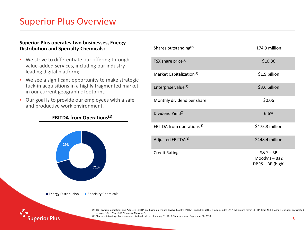# Superior Plus Overview

### **Superior Plus operates two businesses, Energy Distribution and Specialty Chemicals:**

- We strive to differentiate our offering through value-added services, including our industryleading digital platform;
- We see a significant opportunity to make strategic tuck-in acquisitions in a highly fragmented market in our current geographic footprint;
- Our goal is to provide our employees with a safe and productive work environment.

### **EBITDA from Operations(1)**



| пеззез, спетду                      |                                       |                                                  |  |  |  |  |
|-------------------------------------|---------------------------------------|--------------------------------------------------|--|--|--|--|
| icals:                              | Shares outstanding <sup>(2)</sup>     | 174.9 million                                    |  |  |  |  |
| offering through<br>g our industry- | TSX share price <sup>(2)</sup>        | \$10.86                                          |  |  |  |  |
| ity to make strategic               | Market Capitalization <sup>(2)</sup>  | \$1.9 billion                                    |  |  |  |  |
| fragmented market<br>:print;        | Enterprise value <sup>(2)</sup>       | \$3.6 billion                                    |  |  |  |  |
| ployees with a safe<br>nent.        | Monthly dividend per share            | \$0.06                                           |  |  |  |  |
| rations <sup>(1)</sup>              | Dividend Yield <sup>(2)</sup>         | 6.6%                                             |  |  |  |  |
| 71%                                 | EBITDA from operations <sup>(1)</sup> | \$475.3 million                                  |  |  |  |  |
|                                     | Adjusted EBITDA <sup>(1)</sup>        | \$448.4 million                                  |  |  |  |  |
|                                     | <b>Credit Rating</b>                  | $S\&P - BB$<br>Moody's - Ba2<br>DBRS - BB (high) |  |  |  |  |

**Energy Distribution Specialty Chemicals** 



(1) EBITDA from operations and Adjusted EBITDA are based on Trailing Twelve Months ("TTM") ended Q3 2018, which includes \$117 million pro forma EBITDA from NGL Propane (excludes anticipated synergies). See "Non-GAAP Financial Measures".

(2) Shares outstanding, share price and dividend yield as of January 31, 2019. Total debt as at September 30, 2018.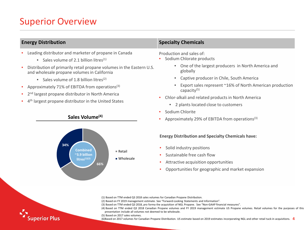# Superior Overview

**Superior Plus** 

- Leading distributor and marketer of propane in Canada
	- Sales volume of 2.1 billion litres<sup>(1)</sup>
- Distribution of primarily retail propane volumes in the Eastern U.S. and wholesale propane volumes in California
	- Sales volume of 1.8 billion litres<sup>(2)</sup>
- Approximately 71% of EBITDA from operations<sup>(3)</sup>
- 2<sup>nd</sup> largest propane distributor in North America
- 4th largest propane distributor in the United States



### **Energy Distribution Specialty Chemicals**

Production and sales of:

- Sodium Chlorate products
	- One of the largest producers in North America and globally
	- Captive producer in Chile, South America
	- Export sales represent ~16% of North American production capacity(5)
- Chlor-alkali and related products in North America
	- 2 plants located close to customers
- Sodium Chlorite
- Approximately 29% of EBITDA from operations<sup>(3)</sup>

#### **Energy Distribution and Specialty Chemicals have:**

- Solid industry positions
- Sustainable free cash flow
- Attractive acquisition opportunities
- Opportunities for geographic and market expansion

- (1) Based on TTM ended Q3 2018 sales volumes for Canadian Propane Distribution.
- (2) Based on FY 2019 management estimate. See "Forward-Looking Statements and Information".
- (3) Based on TTM ended Q3 2018, pro forma the acquisition of NGL Propane. See "Non-GAAP financial measures".
- (4) Based on TTM ended Q3 2018 Canadian Propane volumes and FY 2019 management estimate US Propane volumes. Retail volumes for the purposes of this presentation include all volumes not deemed to be wholesale.
- (5) Based on 2017 sales volumes.

(6)Based on 2017 volumes for Canadian Propane Distribution. US estimate based on 2019 estimates incorporating NGL and other retail tuck-in acquisitions. **4**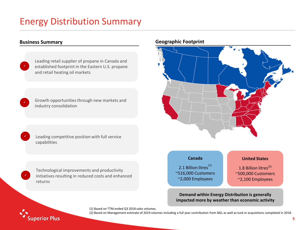# Energy Distribution Summary



✔

✓

**Superior Plus** 

Leading retail supplier of propane in Canada and established footprint in the Eastern U.S. propane and retail heating oil markets

Growth opportunities through new markets and industry consolidation

Leading competitive position with full service capabilities

Technological improvements and productivity initiatives resulting in reduced costs and enhanced returns

#### **Business Summary Geographic Footprint**



#### **Canada**

2.1 Billion litres<sup>(1)</sup> ~516,000 Customers ~2,000 Employees

**United States**

1.8 Billion litres $(2)$ ~500,000 Customers ~2,100 Employees

**Demand within Energy Distribution is generally impacted more by weather than economic activity**

(1) Based on TTM ended Q3 2018 sales volumes.

(2) Based on Management estimate of 2019 volumes including a full year contribution from NGL as well as tuck-in acquisitions completed in 2018.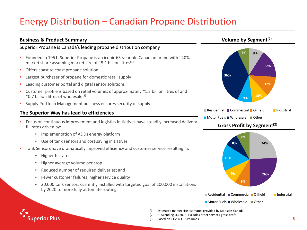## Energy Distribution – Canadian Propane Distribution

### **Business & Product Summary Colume by Segment<sup>(2)</sup> <b>Volume by Segment**<sup>(2)</sup>

#### Superior Propane is Canada's leading propane distribution company

- Founded in 1951, Superior Propane is an iconic 65-year old Canadian brand with ~40% market share assuming market size of  $\sim$ 5.1 billion litres<sup>(1)</sup>
- Offers coast to coast propane solution
- Largest purchaser of propane for domestic retail supply
- Leading customer portal and digital sensor solutions
- Customer profile is based on retail volumes of approximately  $\gamma$ 1.3 billion litres of and  $^{\circ}$ 0.7 billion litres of wholesale<sup>(3)</sup>
- Supply Portfolio Management business ensures security of supply

#### **The Superior Way has lead to efficiencies**

- Focus on continuous improvement and logistics initiatives have steadily increased delivery fill rates driven by:
	- Implementation of ADDs energy platform
	- Use of tank sensors and cost saving initiatives
- Tank Sensors have dramatically improved efficiency and customer service resulting in:
	- Higher fill rates
	- Higher average volume per stop
	- Reduced number of required deliveries; and
	- Fewer customer failures, higher service quality
	- 20,000 tank sensors currently installed with targeted goal of 100,000 installations by 2020 to more fully automate routing



### **Gross Profit by Segment(2)**



- Motor Fuels Wholesale Other
- (1) Estimated market size estimates provided by Statistics Canada.
- (2) TTM ending Q3 2018. Excludes other services gross profit.
- (3) Based on TTM Q3-18 volumes.

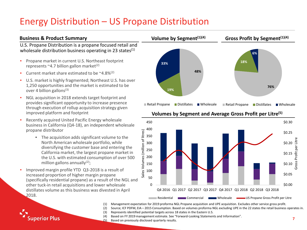# Energy Distribution – US Propane Distribution

### **Business & Product Summary**

U.S. Propane Distribution is a propane focused retail and wholesale distribution business operating in 23 states $(1)$ 

- Propane market in current U.S. Northeast footprint represents  $\sim$ 4.7 billion gallon market<sup>(2)</sup>
- Current market share estimated to be  $\approx 4.8\%/2)$
- U.S. market is highly fragmented; Northeast U.S. has over 1,250 opportunities and the market is estimated to be over 4 billion gallons(3)
- NGL acquisition in 2018 extends target footprint and provides significant opportunity to increase presence through execution of rollup acquisition strategy given improved platform and footprint
- Recently acquired United Pacific Energy wholesale business in California (Q4-18), an independent wholesale propane distributor
	- The acquisition adds significant volume to the North American wholesale portfolio, while diversifying the customer base and entering the California market, the largest propane market in the U.S. with estimated consumption of over 500 million gallons annually $(2)$ ;
- Improved margin profile YTD Q3-2018 is a result of increased proportion of higher margin propane (specifically residential propane) as a result of the NGL and other tuck-in retail acquisitions and lower wholesale distillates volume as this business was divested in April 2018.

**Superior Plus** 



#### 450 \$0.30 400 Sales Volumes (million of litres) Sales Volumes (million of litres) \$0.25 350 Gross Profit per Litre Profit per Litre \$0.20 300 250 \$0.15 200 Gross 150 \$0.10 100 \$0.05 50  $\Omega$ \$0.00 Q4 2016 Q1 2017 Q2 2017 Q3 2017 Q4 2017 Q1 2018 Q2 2018 Q3 2018 Residential Commercial Wholesale Computer US Propane Gross Profit per Litre

#### **Volumes by Segment and Average Gross Profit per Litre(5)**

- (1) Management expectation for 2019 proforma NGL Propane acquisition and UPE acquisition. Excludes other service gross profit.
- (2) Source; ICF PDFM, EIA 2015 Consumption. Based on volumes proforma NGL excluding UPE in the 22 states the retail business operates in.
- (3) Represents identified potential targets across 18 states in the Eastern U.S.
- (4) Based on FY 2019 management estimate. See "Forward-Looking Statements and Information".

(5) Based on previously disclosed quarterly results.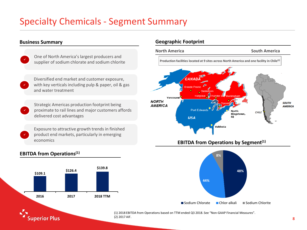# Specialty Chemicals - Segment Summary

One of North America's largest producers and supplier of sodium chlorate and sodium chlorite Diversified end market and customer exposure, with key verticals including pulp & paper, oil & gas and water treatment ✓ Strategic Americas production footprint being proximate to rail lines and major customers affords delivered cost advantages ✓ Exposure to attractive growth trends in finished product end markets, particularly in emerging economics ✓

### **Business Summary Geographic Footprint**



### **EBITDA from Operations by Segment(1)**



(1) 2018 EBITDA from Operations based on TTM ended Q3 2018. See "Non-GAAP Financial Measures". (2) 2017 AIF.

### **EBITDA from Operations(1)**

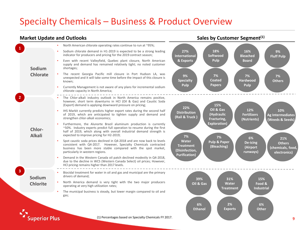### Specialty Chemicals – Business & Product Overview

### **Market Update and Outlooks Sales by Customer Segment**<sup>(1)</sup>

◢

**Superior Plus** 

|   |                         | North American chlorate operating rates continue to run at ~95%;                                                                                                                                                                                                  |
|---|-------------------------|-------------------------------------------------------------------------------------------------------------------------------------------------------------------------------------------------------------------------------------------------------------------|
| 1 |                         | Sodium chlorate demand in H1-2019 is expected to be a strong leading<br>٠<br>indicator for producers and pricing for the 2019 contract season;                                                                                                                    |
|   | Sodium                  | Even with recent Valleyfield, Quebec plant closure, North American<br>٠<br>supply and demand has remained relatively tight; no noted customer<br>shortages;                                                                                                       |
|   | <b>Chlorate</b>         | The recent Georgia Pacific mill closure in Port Hudson LA, was<br>unexpected and it will take some time before the impact of this closure is<br>known;                                                                                                            |
|   |                         | Currently Management is not aware of any plans for incremental sodium<br>٠<br>chlorate capacity in North America;                                                                                                                                                 |
|   |                         | The Chlor-alkali industry outlook in North America remains positive,<br>however, short term downturns in HCI (Oil & Gas) and Caustic Soda<br>(Export) demand is applying downward pressure on pricing;                                                            |
|   |                         | IHS Markit currently predicts higher export rates during the second half<br>٠<br>of 2019, which are anticipated to tighten supply and demand and<br>strengthen chlor-alkali economics;                                                                            |
|   | Chlor-<br><b>Alkali</b> | Furthermore, the Alunorte Brazil aluminum production is currently<br>~50%. Industry experts predict full operation to resume during the first<br>half of 2019, which along with overall industrial demand strength is<br>expected to improve pricing for H2-2019; |
|   |                         | Spot caustic soda prices declined in Q4-2018 and are now back to levels<br>٠<br>consistent with Q4-2017. However, Specialty Chemicals contracted<br>business has been more stable compared with the spot market,<br>particularly in western regions.              |
|   |                         | Demand in the Western Canada oil patch declined modestly in Q4-2018,<br>٠<br>due to the decline in WCS (Western Canada Select) oil prices; However,<br>HCl pricing remains higher than 2017 levels.                                                               |
| З | Sodium                  | Biocidal treatment for water in oil and gas and municipal are the primary<br>drivers of demand:                                                                                                                                                                   |
|   | <b>Chlorite</b>         | North America demand is very tight with the two major producers<br>operating at very high utilization rates;                                                                                                                                                      |
|   |                         | The municipal business is steady, but lower margin compared to oil and<br>gas;                                                                                                                                                                                    |
|   |                         |                                                                                                                                                                                                                                                                   |
|   |                         |                                                                                                                                                                                                                                                                   |



(1) Percentages based on Specialty Chemicals FY 2017.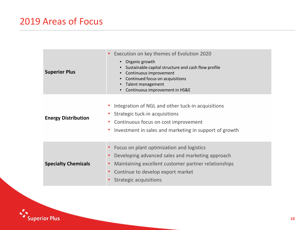| <b>Superior Plus</b>       | Execution on key themes of Evolution 2020<br>Organic growth<br>$\bullet$<br>Sustainable capital structure and cash flow profile<br>$\bullet$<br>Continuous improvement<br>Continued focus on acquisitions<br><b>Talent management</b><br>Continuous improvement in HS&E<br>$\bullet$ |
|----------------------------|--------------------------------------------------------------------------------------------------------------------------------------------------------------------------------------------------------------------------------------------------------------------------------------|
| <b>Energy Distribution</b> | Integration of NGL and other tuck-in acquisitions<br>Strategic tuck-in acquisitions<br>Continuous focus on cost improvement<br>Investment in sales and marketing in support of growth                                                                                                |
| <b>Specialty Chemicals</b> | Focus on plant optimization and logistics<br>Developing advanced sales and marketing approach<br>Maintaining excellent customer partner relationships<br>Continue to develop export market<br>Strategic acquisitions                                                                 |

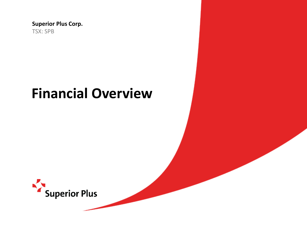**Superior Plus Corp.** TSX: SPB

# **Financial Overview**

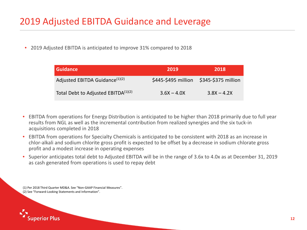# 2019 Adjusted EBITDA Guidance and Leverage

• 2019 Adjusted EBITDA is anticipated to improve 31% compared to 2018

| <b>Guidance</b>                                 | 2019                                    | 2018          |
|-------------------------------------------------|-----------------------------------------|---------------|
| Adjusted EBITDA Guidance <sup>(1)(2)</sup>      | \$445-\$495 million \$345-\$375 million |               |
| Total Debt to Adjusted EBITDA <sup>(1)(2)</sup> | $3.6X - 4.0X$                           | $3.8X - 4.2X$ |

- EBITDA from operations for Energy Distribution is anticipated to be higher than 2018 primarily due to full year results from NGL as well as the incremental contribution from realized synergies and the six tuck-in acquisitions completed in 2018
- EBITDA from operations for Specialty Chemicals is anticipated to be consistent with 2018 as an increase in chlor-alkali and sodium chlorite gross profit is expected to be offset by a decrease in sodium chlorate gross profit and a modest increase in operating expenses
- Superior anticipates total debt to Adjusted EBITDA will be in the range of 3.6x to 4.0x as at December 31, 2019 as cash generated from operations is used to repay debt

(1) Per 2018 Third Quarter MD&A. See "Non-GAAP Financial Measures". (2) See "Forward-Looking Statements and Information".

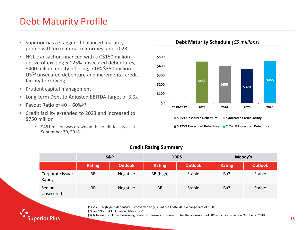### Debt Maturity Profile

- Superior has a staggered balanced maturity profile with no material maturities until 2023
- NGL transaction financed with a C\$150 million upsize of existing 5.125% unsecured debentures, \$400 million equity offering, 7.0% \$350 million US(1) unsecured debenture and incremental credit facility borrowing
- Prudent capital management
- Long-term Debt to Adjusted EBITDA target of 3.0x
- Payout Ratio of  $40 60\%^{(2)}$
- Credit facility extended to 2023 and increased to \$750 million
	- \$451 million was drawn on the credit facility as at September 30, 2018(3)



#### **Debt Maturity Schedule** *(C\$ millions)*

#### **Credit Rating Summary**

|                            | <b>S&amp;P</b> |                | <b>DBRS</b>   |                | Moody's         |                |
|----------------------------|----------------|----------------|---------------|----------------|-----------------|----------------|
|                            | <b>Rating</b>  | <b>Outlook</b> | <b>Rating</b> | <b>Outlook</b> | <b>Rating</b>   | <b>Outlook</b> |
| Corporate Issuer<br>Rating | <b>BB</b>      | Negative       | BB (high)     | Stable         | Ba <sub>2</sub> | Stable         |
| Senior<br>Unsecured        | <b>BB</b>      | Negative       | <b>BB</b>     | Stable         | Ba3             | Stable         |



(1) 7% US high yield debenture is converted to \$CAD at the USD/CAD exchange rate of 1.30.

(2) See "Non-GAAP Financial Measures".

(3) Total debt excludes borrowing related to closing consideration for the acquisition of UPE which occurred on October 2, 2018.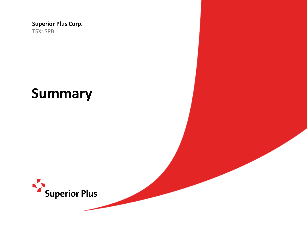**Superior Plus Corp.** TSX: SPB

# **Summary**

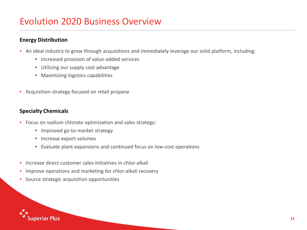# Evolution 2020 Business Overview

### **Energy Distribution**

- An ideal industry to grow through acquisitions and immediately leverage our solid platform, including:
	- Increased provision of value-added services
	- Utilizing our supply cost advantage
	- Maximizing logistics capabilities
- Acquisition strategy focused on retail propane

### **Specialty Chemicals**

- Focus on sodium chlorate optimization and sales strategy:
	- Improved go-to-market strategy
	- Increase export volumes
	- Evaluate plant expansions and continued focus on low-cost operations
- Increase direct customer sales initiatives in chlor-alkali
- Improve operations and marketing for chlor-alkali recovery
- Source strategic acquisition opportunities

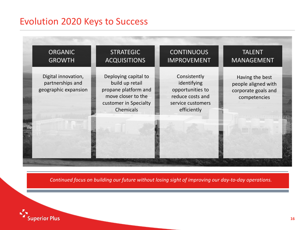### Evolution 2020 Keys to Success



*Continued focus on building our future without losing sight of improving our day-to-day operations.*

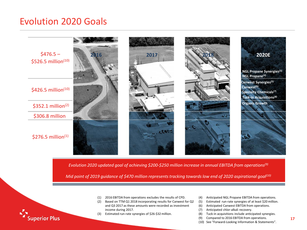### Evolution 2020 Goals



*Evolution 2020 updated goal of achieving \$200-\$250 million increase in annual EBITDA from operations(9)*

*Mid point of 2019 guidance of \$470 million represents tracking towards low end of 2020 aspirational goal(10)* 

- (1) 2016 EBITDA from operations excludes the results of CPD.
- (2) Based on TTM Q1 2018 incorporating results for Canwest for Q2 and Q3 2017 as these amounts were recorded as investment income during 2017.
- (3) Estimated run-rate synergies of \$26-\$32 million.
- (4) Anticipated NGL Propane EBITDA from operations.
- (5) Estimated run-rate synergies of at least \$20 million.
- (6) Anticipated Canwest EBITDA from operations.
- (7) Anticipated chlor-alkali recovery.
- (8) Tuck-in acquisitions include anticipated synergies.



(9) Compared to 2016 EBITDA from operations. (10) See "Forward-Looking Information & Statements".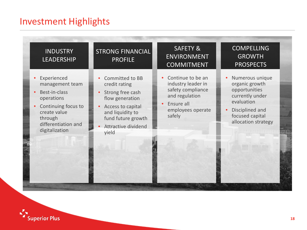# Investment Highlights

| <b>INDUSTRY</b><br><b>LEADERSHIP</b>                                                                                                                                               | <b>STRONG FINANCIAL</b><br><b>PROFILE</b>                                                                                                                                     | <b>SAFETY &amp;</b><br><b>ENVIRONMENT</b><br><b>COMMITMENT</b>                                                              | <b>COMPELLING</b><br><b>GROWTH</b><br><b>PROSPECTS</b>                                                                                                                     |
|------------------------------------------------------------------------------------------------------------------------------------------------------------------------------------|-------------------------------------------------------------------------------------------------------------------------------------------------------------------------------|-----------------------------------------------------------------------------------------------------------------------------|----------------------------------------------------------------------------------------------------------------------------------------------------------------------------|
| Experienced<br>$\bullet$<br>management team<br>Best-in-class<br>operations<br>Continuing focus to<br>$\bullet$<br>create value<br>through<br>differentiation and<br>digitalization | <b>Committed to BB</b><br>credit rating<br>Strong free cash<br>flow generation<br>Access to capital<br>and liquidity to<br>fund future growth<br>Attractive dividend<br>yield | Continue to be an<br>industry leader in<br>safety compliance<br>and regulation<br>Ensure all<br>employees operate<br>safely | Numerous unique<br>$\bullet$<br>organic growth<br>opportunities<br>currently under<br>evaluation<br>Disciplined and<br>$\bullet$<br>focused capital<br>allocation strategy |

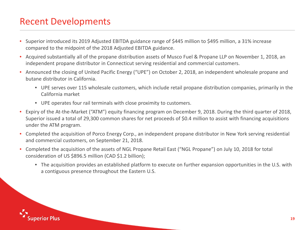### Recent Developments

- Superior introduced its 2019 Adjusted EBITDA guidance range of \$445 million to \$495 million, a 31% increase compared to the midpoint of the 2018 Adjusted EBITDA guidance.
- Acquired substantially all of the propane distribution assets of Musco Fuel & Propane LLP on November 1, 2018, an independent propane distributor in Connecticut serving residential and commercial customers.
- Announced the closing of United Pacific Energy ("UPE") on October 2, 2018, an independent wholesale propane and butane distributor in California.
	- UPE serves over 115 wholesale customers, which include retail propane distribution companies, primarily in the California market
	- UPE operates four rail terminals with close proximity to customers.
- Expiry of the At-the-Market ("ATM") equity financing program on December 9, 2018. During the third quarter of 2018, Superior issued a total of 29,300 common shares for net proceeds of \$0.4 million to assist with financing acquisitions under the ATM program.
- Completed the acquisition of Porco Energy Corp., an independent propane distributor in New York serving residential and commercial customers, on September 21, 2018.
- Completed the acquisition of the assets of NGL Propane Retail East ("NGL Propane") on July 10, 2018 for total consideration of US \$896.5 million (CAD \$1.2 billion);
	- The acquisition provides an established platform to execute on further expansion opportunities in the U.S. with a contiguous presence throughout the Eastern U.S.

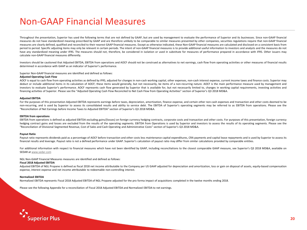### Non-GAAP Financial Measures

Throughout the presentation, Superior has used the following terms that are not defined by GAAP, but are used by management to evaluate the performance of Superior and its businesses. Since non-GAAP financial measures do not have standardized meaning prescribed by GAAP and are therefore unlikely to be comparable to similar measures presented by other companies, securities regulations require that non-GAAP financial measures are clearly defined, qualified and reconciled to their nearest GAAP financial measures. Except as otherwise indicated, these Non-GAAP financial measures are calculated and disclosed on a consistent basis from period to period. Specific adjusting items may only be relevant in certain periods. The intent of non-GAAP financial measures is to provide additional useful information to investors and analysts and the measures do not have any standardized meaning under IFRS. The measures should not, therefore, be considered in isolation or used in substitute for measures of performance prepared in accordance with IFRS. Other issuers may calculate non-GAAP financial measures differently.

Investors should be cautioned that Adjusted EBITDA, EBITDA from operations and AOCF should not be construed as alternatives to net earnings, cash flow from operating activities or other measures of financial results determined in accordance with GAAP as an indicator of Superior's performance.

Superior Non-GAAP financial measures are identified and defined as follows:

#### **Adjusted Operating Cash Flow**

AOCF is equal to cash flow from operating activities as defined by IFRS, adjusted for changes in non-cash working capital, other expenses, non-cash interest expense, current income taxes and finance costs. Superior may deduct or include additional items in its calculation of AOCF; these items would generally, but not necessarily, be items of a non-recurring nature. AOCF is the main performance measure used by management and investors to evaluate Superior's performance. AOCF represents cash flow generated by Superior that is available for, but not necessarily limited to, changes in working capital requirements, investing activities and financing activities of Superior. Please see the "Adjusted Operating Cash Flow Reconciled to Net Cash Flow from Operating Activities" section of Superior's Q3 2018 MD&A.

#### **Adjusted EBITDA**

For the purposes of this presentation Adjusted EBITDA represents earnings before taxes, depreciation, amortization, finance expense, and certain other non-cash expenses and transaction and other costs deemed to be non-recurring, and is used by Superior to assess its consolidated results and ability to service debt. The EBITDA of Superior's operating segments may be referred to as EBITDA from operations. Please see the "Reconciliation of Net Earnings before Income Taxes to Adjusted EBITDA" section of Superior's Q3 2018 MD&A.

#### **EBITDA from operations**

EBITDA from operations is defined as adjusted EBITDA excluding gains/(losses) on foreign currency hedging contracts, corporate costs and transaction and other costs. For purposes of this presentation, foreign currency hedging contract gains and losses are excluded from the results of the operating segments. EBITDA from Operations is used by Superior and investors to assess the results of its operating segments. Please see the "Reconciliation of Divisional Segmented Revenue, Cost of Sales and Cash Operating and Administrative Costs" section of Superior's Q3 2018 MD&A.

#### **Payout Ratio**

Payout ratio represents dividends paid as a percentage of AOCF before transaction and other costs less maintenance capital expenditures, CRA payments and capital lease repayments and is used by Superior to assess its financial results and leverage. Payout ratio is not a defined performance under GAAP. Superior's calculation of payout ratio may differ from similar calculations provided by comparable entities.

For additional information with respect to financial measures which have not been identified by GAAP, including reconciliations to the closest comparable GAAP measure, see Superior's Q3 2018 MD&A, available on SEDAR at [www.sedar.com](http://www.sedar.com/)

#### NGL Non-GAAP Financial Measures measures are identified and defined as follows:

#### **Fiscal 2018 Adjusted EBITDA**

Adjusted EBITDA of NGL Propane is defined as fiscal 2018 net income attributable to the Company per US GAAP adjusted for depreciation and amortization, loss or gain on disposal of assets, equity-based compensation expense, interest expense and net income attributable to redeemable non-controlling interest.

#### **Normalized EBITDA**

Normalized EBITDA represents Fiscal 2018 Adjusted EBITDA of NGL Propane adjusted for the pro forma impact of acquisitions completed in the twelve months ending 2018.

Please see the following Appendix for a reconciliation of Fiscal 2018 Adjusted EBITDA and Normalized EBITDA to net earnings.